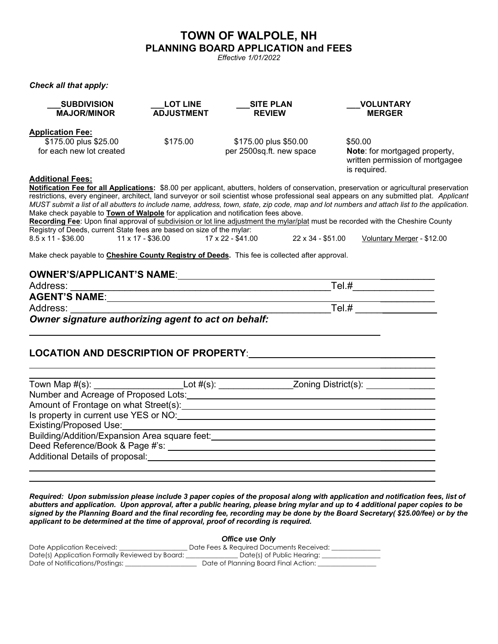## **TOWN OF WALPOLE, NH PLANNING BOARD APPLICATION and FEES**

*Effective 1/01/2022*

*Check all that apply:*

| <b>SUBDIVISION</b><br><b>MAJOR/MINOR</b>          | <b>LOT LINE</b><br><b>ADJUSTMENT</b> | <b>SITE PLAN</b><br><b>REVIEW</b>                 | <b>VOLUNTARY</b><br><b>MERGER</b>                                                           |
|---------------------------------------------------|--------------------------------------|---------------------------------------------------|---------------------------------------------------------------------------------------------|
| <b>Application Fee:</b>                           |                                      |                                                   |                                                                                             |
| \$175.00 plus \$25.00<br>for each new lot created | \$175.00                             | \$175.00 plus \$50.00<br>per 2500sq.ft. new space | \$50.00<br>Note: for mortgaged property,<br>written permission of mortgagee<br>is required. |
| Additional Ecce.                                  |                                      |                                                   |                                                                                             |

**Additional Fees: Notification Fee for all Applications:** \$8.00 per applicant, abutters, holders of conservation, preservation or agricultural preservation restrictions, every engineer, architect, land surveyor or soil scientist whose professional seal appears on any submitted plat. *Applicant MUST submit a list of all abutters to include name, address, town, state, zip code, map and lot numbers and attach list to the application.* Make check payable to **Town of Walpole** for application and notification fees above. **Recording Fee**: Upon final approval of subdivision or lot line adjustment the mylar/plat must be recorded with the Cheshire County Registry of Deeds, current State fees are based on size of the mylar: 8.5 x 11 - \$36.00 11 x 17 - \$36.00 17 x 22 - \$41.00 22 x 34 - \$51.00 Voluntary Merger - \$12.00

Make check payable to **Cheshire County Registry of Deeds.** This fee is collected after approval.

## **OWNER'S/APPLICANT'S NAME**: \_\_\_\_\_\_\_\_\_\_

| Address:             | Tel.# |
|----------------------|-------|
| <b>AGENT'S NAME:</b> |       |
| Address:             | Tel.# |

*Owner signature authorizing agent to act on behalf:*

## **LOCATION AND DESCRIPTION OF PROPERTY**: \_\_\_\_\_\_\_\_\_\_\_

|                                               | Lot $#(s)$ : |  |
|-----------------------------------------------|--------------|--|
| Number and Acreage of Proposed Lots:          |              |  |
| Amount of Frontage on what Street(s):         |              |  |
| Is property in current use YES or NO:         |              |  |
| <b>Existing/Proposed Use:</b>                 |              |  |
| Building/Addition/Expansion Area square feet: |              |  |
| Deed Reference/Book & Page #'s:               |              |  |
| Additional Details of proposal:               |              |  |
|                                               |              |  |

 $\mathcal{L}_\text{max}$ 

 $\overline{\phantom{a}}$  , where  $\overline{\phantom{a}}$ 

*Required: Upon submission please include 3 paper copies of the proposal along with application and notification fees, list of abutters and application. Upon approval, after a public hearing, please bring mylar and up to 4 additional paper copies to be signed by the Planning Board and the final recording fee, recording may be done by the Board Secretary( \$25.00/fee) or by the applicant to be determined at the time of approval, proof of recording is required.*

|                                                 | Office use Only                          |  |  |
|-------------------------------------------------|------------------------------------------|--|--|
| Date Application Received:                      | Date Fees & Required Documents Received: |  |  |
| Date(s) Application Formally Reviewed by Board: | Date(s) of Public Hearing:               |  |  |
| Date of Notifications/Postings:                 | Date of Planning Board Final Action:     |  |  |